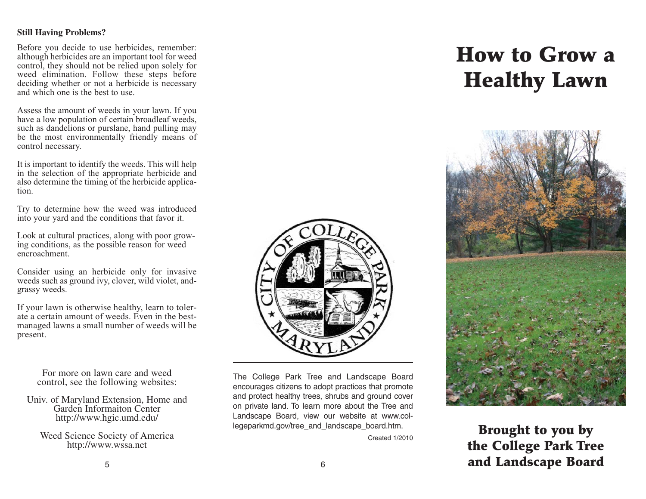#### **Still Having Problems?**

Before you decide to use herbicides, remember: although herbicides are an important tool for weed control, they should not be relied upon solely for weed elimination. Follow these steps before deciding whether or not a herbicide is necessary and which one is the best to use.

Assess the amount of weeds in your lawn. If you have a low population of certain broadleaf weeds, such as dandelions or purslane, hand pulling may be the most environmentally friendly means of control necessary.

It is important to identify the weeds. This will help in the selection of the appropriate herbicide and also determine the timing of the herbicide application.

Try to determine how the weed was introduced into your yard and the conditions that favor it.

Look at cultural practices, along with poor growing conditions, as the possible reason for weed encroachment.

Consider using an herbicide only for invasive weeds such as ground ivy, clover, wild violet, andgrassy weeds.

If your lawn is otherwise healthy, learn to tolerate a certain amount of weeds. Even in the bestmanaged lawns a small number of weeds will be present.

> For more on lawn care and weed control, see the following websites:

Univ. of Maryland Extension, Home and Garden Informaiton Center http://www.hgic.umd.edu/

Weed Science Society of America http://www.wssa.net



The College Park Tree and Landscape Board encourages citizens to adopt practices that promote and protect healthy trees, shrubs and ground cover on private land. To learn more about the Tree and Landscape Board, view our website at www.collegeparkmd.gov/tree\_and\_landscape\_board.htm.

Created 1/2010

# **How to Grow a Healthy Lawn**



## **Brought to you by the College Park Tree**  <sup>6</sup> **and Landscape Board**